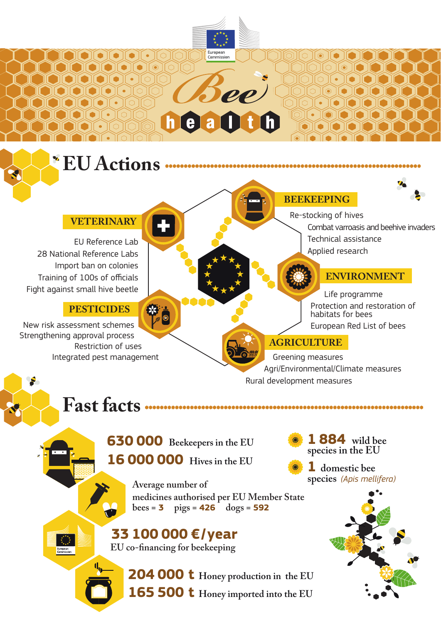## **VETERINARY**

EU Reference Lab 28 National Reference Labs Import ban on colonies Training of 100s of officials Fight against small hive beetle

## **PESTICIDES**

New risk assessment schemes Strengthening approval process Restriction of uses Integrated pest management

#### **BEEKEEPING**

Re-stocking of hives Combat varroasis and beehive invaders Technical assistance Applied research

### **ENVIRONMENT**

Life programme Protection and restoration of habitats for bees European Red List of bees

## **AGRICULTURE**

Greening measures Agri/Environmental/Climate measures Rural development measures

**Fast facts**

**630 000 Beekeepers in the EU 16 000 000 Hives in the EU**

> **Average number of medicines authorised per EU Member State bees = 3 pigs = 426 dogs = 592**

**EU Actions**

European<br>Commission

# **33 100 000 € / year EU co-financing for beekeeping**

**204 000 t Honey production in the EU 165 500 t Honey imported into the EU**

**1 884 wild bee species in the EU** 

**1 domestic bee species** *(Apis mellifera)*